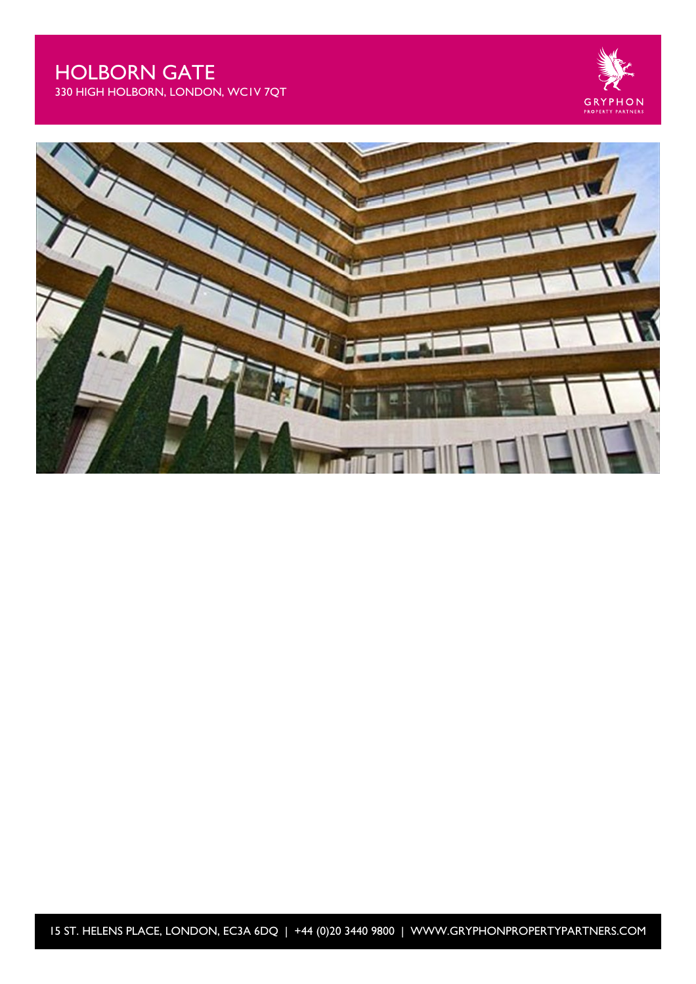330 HIGH HOLBORN, LONDON, WC1V 7QT



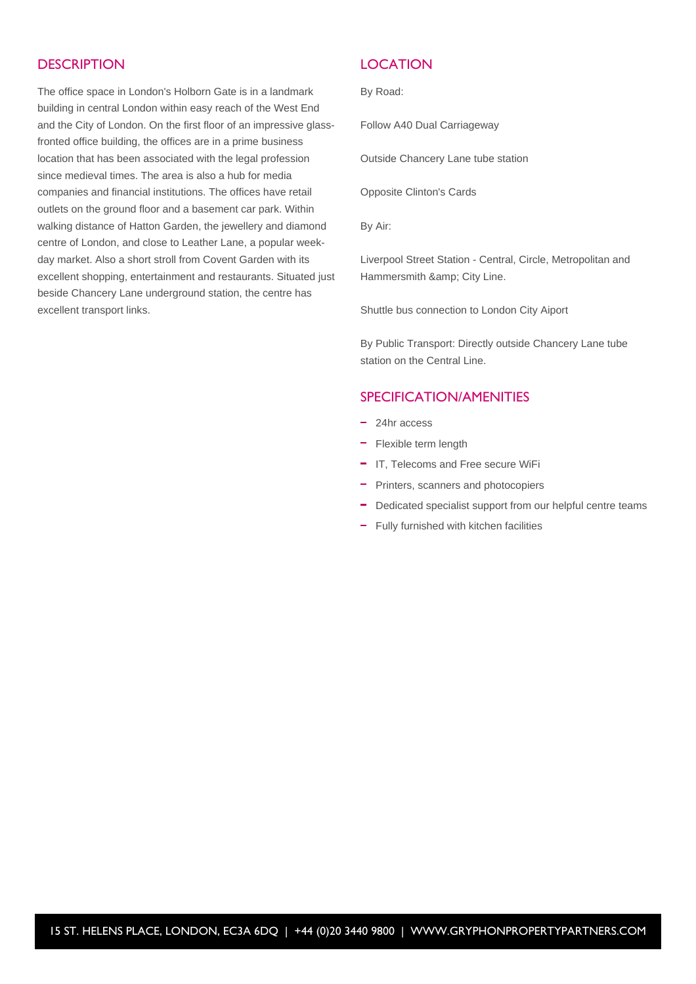### **DESCRIPTION**

The office space in London's Holborn Gate is in a landmark building in central London within easy reach of the West End and the City of London. On the first floor of an impressive glassfronted office building, the offices are in a prime business location that has been associated with the legal profession since medieval times. The area is also a hub for media companies and financial institutions. The offices have retail outlets on the ground floor and a basement car park. Within walking distance of Hatton Garden, the jewellery and diamond centre of London, and close to Leather Lane, a popular weekday market. Also a short stroll from Covent Garden with its excellent shopping, entertainment and restaurants. Situated just beside Chancery Lane underground station, the centre has excellent transport links.

### **LOCATION**

By Road:

Follow A40 Dual Carriageway

Outside Chancery Lane tube station

Opposite Clinton's Cards

By Air:

Liverpool Street Station - Central, Circle, Metropolitan and Hammersmith & amp; City Line.

Shuttle bus connection to London City Aiport

By Public Transport: Directly outside Chancery Lane tube station on the Central Line.

#### SPECIFICATION/AMENITIES

- $= 24$ hr access
- Flexible term length
- IT, Telecoms and Free secure WiFi
- Printers, scanners and photocopiers
- Dedicated specialist support from our helpful centre teams
- Fully furnished with kitchen facilities